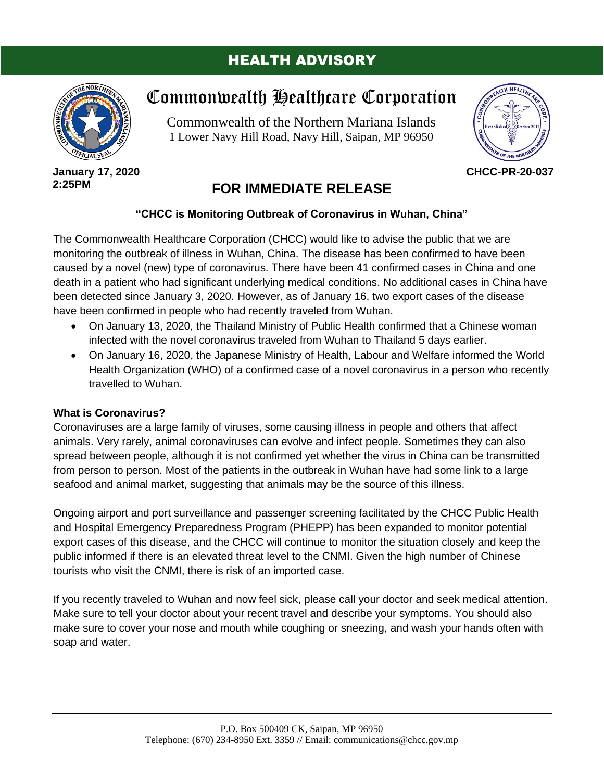### HEALTH ADVISORY



**January 17, 2020 2:25PM**

# Commonwealth Healthcare Corporation

Commonwealth of the Northern Mariana Islands 1 Lower Navy Hill Road, Navy Hill, Saipan, MP 96950



**CHCC-PR-20-037**

## **FOR IMMEDIATE RELEASE**

#### **"CHCC is Monitoring Outbreak of Coronavirus in Wuhan, China"**

The Commonwealth Healthcare Corporation (CHCC) would like to advise the public that we are monitoring the outbreak of illness in Wuhan, China. The disease has been confirmed to have been caused by a novel (new) type of coronavirus. There have been 41 confirmed cases in China and one death in a patient who had significant underlying medical conditions. No additional cases in China have been detected since January 3, 2020. However, as of January 16, two export cases of the disease have been confirmed in people who had recently traveled from Wuhan.

- On January 13, 2020, the Thailand Ministry of Public Health confirmed that a Chinese woman infected with the novel coronavirus traveled from Wuhan to Thailand 5 days earlier.
- On January 16, 2020, the Japanese Ministry of Health, Labour and Welfare informed the World Health Organization (WHO) of a confirmed case of a novel coronavirus in a person who recently travelled to Wuhan.

#### **What is Coronavirus?**

Coronaviruses are a large family of viruses, some causing illness in people and others that affect animals. Very rarely, animal coronaviruses can evolve and infect people. Sometimes they can also spread between people, although it is not confirmed yet whether the virus in China can be transmitted from person to person. Most of the patients in the outbreak in Wuhan have had some link to a large seafood and animal market, suggesting that animals may be the source of this illness.

Ongoing airport and port surveillance and passenger screening facilitated by the CHCC Public Health and Hospital Emergency Preparedness Program (PHEPP) has been expanded to monitor potential export cases of this disease, and the CHCC will continue to monitor the situation closely and keep the public informed if there is an elevated threat level to the CNMI. Given the high number of Chinese tourists who visit the CNMI, there is risk of an imported case.

If you recently traveled to Wuhan and now feel sick, please call your doctor and seek medical attention. Make sure to tell your doctor about your recent travel and describe your symptoms. You should also make sure to cover your nose and mouth while coughing or sneezing, and wash your hands often with soap and water.